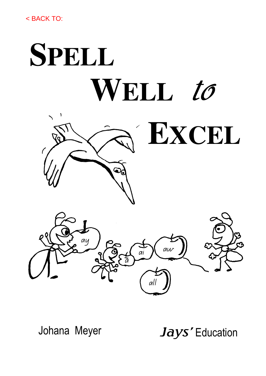

Johana Meyer

Jays' Education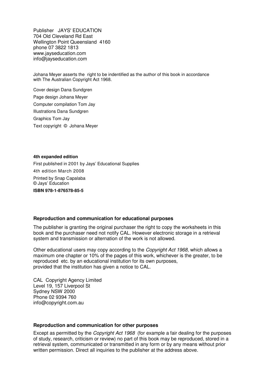Publisher JAYS' EDUCATION 704 Old Cleveland Rd East Wellington Point Queensland 4160 phone 07 3822 1813 www.jayseducation.com info@jayseducation.com

Johana Meyer asserts the right to be indentified as the author of this book in accordance with The Australian Copyright Act 1968.

Cover design Dana Sundgren Page design Johana Meyer Computer compilation Tom Jay Illustrations Dana Sundgren Graphics Tom Jay Text copyright © Johana Meyer

#### **4th expanded edition**

First published in 2001 by Jays' Educational Supplies 4th edition March 2008 Printed by Snap Capalaba © Jays' Education **ISBN 978-1-876578-85-5** 

#### **Reproduction and communication for educational purposes**

The publisher is granting the original purchaser the right to copy the worksheets in this book and the purchaser need not notify CAL. However electronic storage in a retrieval system and transmission or alternation of the work is not allowed.

Other educational users may copy according to the Copyright Act 1968, which allows a maximum one chapter or 10% of the pages of this work, whichever is the greater, to be reproduced etc. by an educational institution for its own purposes, provided that the institution has given a notice to CAL.

CAL Copyright Agency Limited Level 19, 157 Liverpool St Sydney NSW 2000 Phone 02 9394 760 info@copyright.com.au

#### **Reproduction and communication for other purposes**

Except as permitted by the Copyright Act 1968 (for example a fair dealing for the purposes of study, research, criticism or review) no part of this book may be reproduced, stored in a retrieval system, communicated or transmitted in any form or by any means without prior written permission. Direct all inquiries to the publisher at the address above.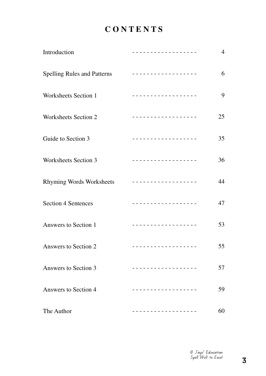# **C O N T E N T S**

| Introduction                       | <u>.</u>                                    | $\overline{4}$ |
|------------------------------------|---------------------------------------------|----------------|
| <b>Spelling Rules and Patterns</b> |                                             | 6              |
| Worksheets Section 1               | <u>.</u>                                    | 9              |
| Worksheets Section 2               | <u> - - - - - - - - - - - - - - - - -</u>   | 25             |
| Guide to Section 3                 | <u> - - - - - - - - - - - - - - - - -</u> - | 35             |
| Worksheets Section 3               | <u> - - - - - - - - - - - - - - - - - -</u> | 36             |
| <b>Rhyming Words Worksheets</b>    | <u>.</u>                                    | 44             |
| <b>Section 4 Sentences</b>         | <u> - - - - - - - - - - - - - - - - -</u>   | 47             |
| Answers to Section 1               | <u>.</u>                                    | 53             |
| Answers to Section 2               | <u>.</u>                                    | 55             |
| Answers to Section 3               |                                             | 57             |
| Answers to Section 4               |                                             | 59             |
| The Author                         |                                             | 60             |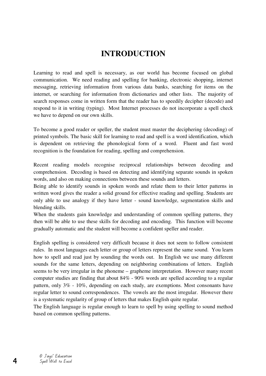# **INTRODUCTION**

Learning to read and spell is necessary, as our world has become focused on global communication. We need reading and spelling for banking, electronic shopping, internet messaging, retrieving information from various data banks, searching for items on the internet, or searching for information from dictionaries and other lists. The majority of search responses come in written form that the reader has to speedily decipher (decode) and respond to it in writing (typing). Most Internet processes do not incorporate a spell check we have to depend on our own skills.

To become a good reader or speller, the student must master the deciphering (decoding) of printed symbols. The basic skill for learning to read and spell is a word identification, which is dependent on retrieving the phonological form of a word. Fluent and fast word recognition is the foundation for reading, spelling and comprehension.

Recent reading models recognise reciprocal relationships between decoding and comprehension. Decoding is based on detecting and identifying separate sounds in spoken words, and also on making connections between these sounds and letters.

Being able to identify sounds in spoken words and relate them to their letter patterns in written word gives the reader a solid ground for effective reading and spelling. Students are only able to use analogy if they have letter - sound knowledge, segmentation skills and blending skills.

When the students gain knowledge and understanding of common spelling patterns, they then will be able to use these skills for decoding and encoding. This function will become gradually automatic and the student will become a confident speller and reader.

English spelling is considered very difficult because it does not seem to follow consistent rules. In most languages each letter or group of letters represent the same sound. You learn how to spell and read just by sounding the words out. In English we use many different sounds for the same letters, depending on neighboring combinations of letters. English seems to be very irregular in the phoneme – grapheme interpretation. However many recent computer studies are finding that about 84% - 90% words are spelled according to a regular pattern, only 3% - 10%, depending on each study, are exemptions. Most consonants have regular letter to sound correspondences. The vowels are the most irregular. However there is a systematic regularity of group of letters that makes English quite regular.

The English language is regular enough to learn to spell by using spelling to sound method based on common spelling patterns.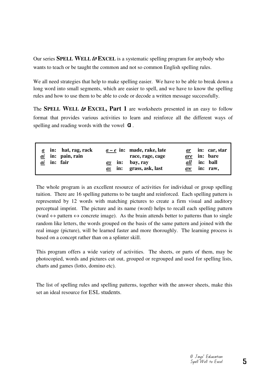Our series **SPELL WELL** to **EXCEL** is a systematic spelling program for anybody who wants to teach or be taught the common and not so common English spelling rules.

We all need strategies that help to make spelling easier. We have to be able to break down a long word into small segments, which are easier to spell, and we have to know the spelling rules and how to use them to be able to code or decode a written message successfully.

The **SPELL** WELL to EXCEL, Part 1 are worksheets presented in an easy to follow format that provides various activities to learn and reinforce all the different ways of spelling and reading words with the vowel  $\alpha$ .

| ai |  | $\underline{a}$ in: hat, rag, rack<br>$ai$ in: pain, rain<br>in: fair |  |  | $a-e$ in: made, rake, late<br>race, rage, cage<br>$ay$ in: bay, ray<br>$\alpha s$ in: grass, ask, last | aw |  | <i>ar</i> in: car, star<br><i>are</i> in: bare<br><i>all</i> in: ball<br>in: raw, |
|----|--|-----------------------------------------------------------------------|--|--|--------------------------------------------------------------------------------------------------------|----|--|-----------------------------------------------------------------------------------|
|----|--|-----------------------------------------------------------------------|--|--|--------------------------------------------------------------------------------------------------------|----|--|-----------------------------------------------------------------------------------|

The whole program is an excellent resource of activities for individual or group spelling tuition. There are 16 spelling patterns to be taught and reinforced. Each spelling pattern is represented by 12 words with matching pictures to create a firm visual and auditory perceptual imprint. The picture and its name (word) helps to recall each spelling pattern (ward  $\leftrightarrow$  pattern  $\leftrightarrow$  concrete image). As the brain attends better to patterns than to single random like letters, the words grouped on the basis of the same pattern and joined with the real image (picture), will be learned faster and more thoroughly. The learning process is based on a concept rather than on a splinter skill.

This program offers a wide variety of activities. The sheets, or parts of them, may be photocopied, words and pictures cut out, grouped or regrouped and used for spelling lists, charts and games (lotto, domino etc).

The list of spelling rules and spelling patterns, together with the answer sheets, make this set an ideal resource for ESL students.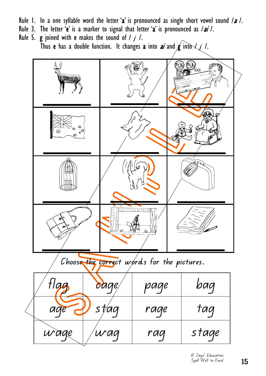- Rule 1. In a one syllable word the letter 'a' is pronounced as single short vowel sound  $/a$  /.
- Rule 3. The letter 'e' is a marker to signal that letter 'a' is pronounced as  $/ai$  /.
- Rule 5. g joined with e makes the sound of  $/ j /$ . Thus e has a double function. It changes a into ai and  $g$  into  $\lambda$  /.

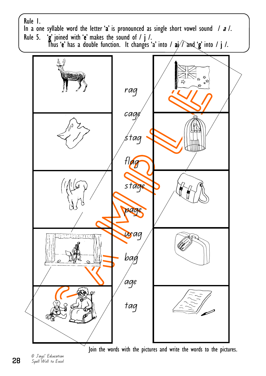

Join the words with the pictures and write the words to the pictures.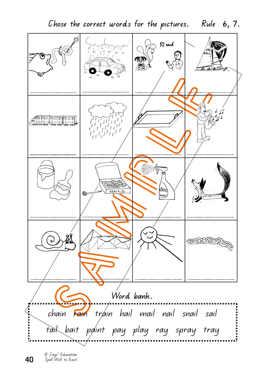Chose the correct words for the pictures. Rule 6, 7.  $$2$  uch  $\frac{1}{6}$   $\frac{1}{10}$  $\circ$ <sup>'</sup>  $\frac{d}{d}$ .<br>ර .......................... *<u>AMPP poopport</u>*  $\overline{N}$ AIL (∩) N<br>2 AUN Word bank.  $\ddot{\phantom{0}}$ chain rain tráin hail mail nail snail sail i<br>:<br>: tail bait paint pay play ray spray tray

40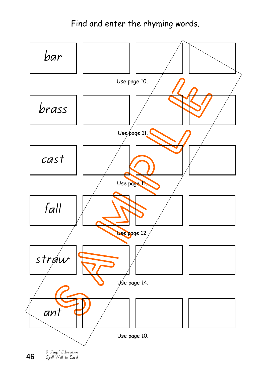# Find and enter the rhyming words.



46 Spell Well to Excel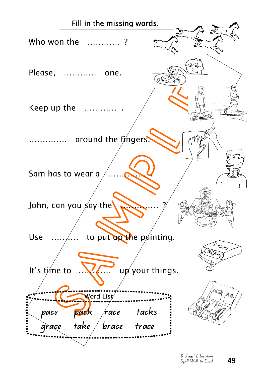

49